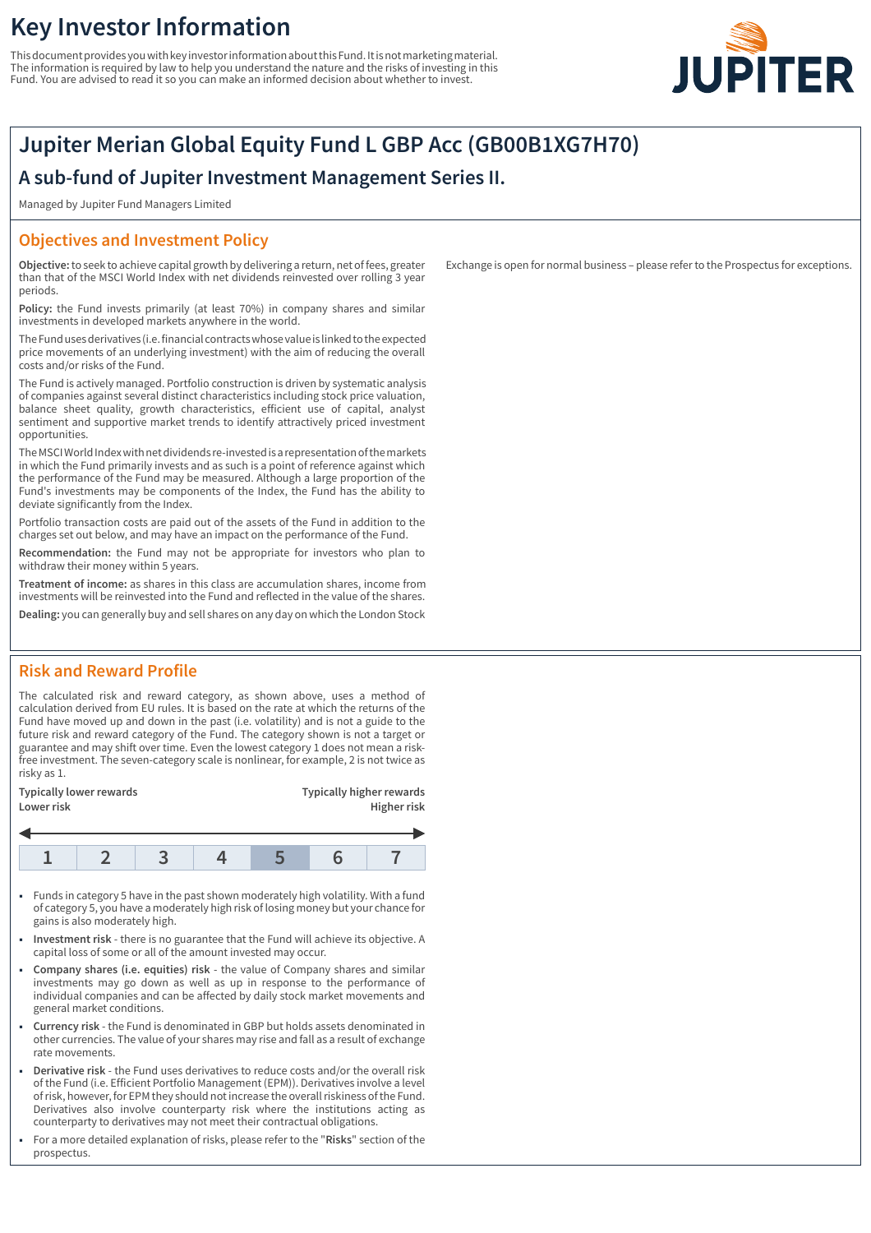# **Key Investor Information**

This document provides you with key investor information about this Fund. It is not marketing material. The information is required by law to help you understand the nature and the risks of investing in this Fund. You are advised to read it so you can make an informed decision about whether to invest.



## **Jupiter Merian Global Equity Fund L GBP Acc (GB00B1XG7H70)**

### **A sub-fund of Jupiter Investment Management Series II.**

Managed by Jupiter Fund Managers Limited

### **Objectives and Investment Policy**

**Objective:** to seek to achieve capital growth by delivering a return, net of fees, greater than that of the MSCI World Index with net dividends reinvested over rolling 3 year periods.

**Policy:** the Fund invests primarily (at least 70%) in company shares and similar investments in developed markets anywhere in the world.

The Fund uses derivatives (i.e. financial contracts whose value is linked to the expected price movements of an underlying investment) with the aim of reducing the overall costs and/or risks of the Fund.

The Fund is actively managed. Portfolio construction is driven by systematic analysis of companies against several distinct characteristics including stock price valuation, balance sheet quality, growth characteristics, efficient use of capital, analyst sentiment and supportive market trends to identify attractively priced investment opportunities.

The MSCI World Index with net dividends re-invested is a representation of the markets in which the Fund primarily invests and as such is a point of reference against which the performance of the Fund may be measured. Although a large proportion of the Fund's investments may be components of the Index, the Fund has the ability to deviate significantly from the Index.

Portfolio transaction costs are paid out of the assets of the Fund in addition to the charges set out below, and may have an impact on the performance of the Fund.

**Recommendation:** the Fund may not be appropriate for investors who plan to withdraw their money within 5 years.

**Treatment of income:** as shares in this class are accumulation shares, income from investments will be reinvested into the Fund and reflected in the value of the shares.

**Dealing:** you can generally buy and sell shares on any day on which the London Stock

### **Risk and Reward Profile**

The calculated risk and reward category, as shown above, uses a method of calculation derived from EU rules. It is based on the rate at which the returns of the Fund have moved up and down in the past (i.e. volatility) and is not a guide to the future risk and reward category of the Fund. The category shown is not a target or guarantee and may shift over time. Even the lowest category 1 does not mean a riskfree investment. The seven-category scale is nonlinear, for example, 2 is not twice as risky as 1.

| Typically lower rewards<br>Lower risk |  |  |  | <b>Typically higher rewards</b><br>Higher risk |  |  |
|---------------------------------------|--|--|--|------------------------------------------------|--|--|
|                                       |  |  |  |                                                |  |  |
|                                       |  |  |  |                                                |  |  |

- 1 Funds in category 5 have in the past shown moderately high volatility. With a fund of category 5, you have a moderately high risk of losing money but your chance for gains is also moderately high.
- 1 **Investment risk** there is no guarantee that the Fund will achieve its objective. A capital loss of some or all of the amount invested may occur.
- 1 **Company shares (i.e. equities) risk** the value of Company shares and similar investments may go down as well as up in response to the performance of individual companies and can be affected by daily stock market movements and general market conditions.
- 1 **Currency risk** the Fund is denominated in GBP but holds assets denominated in other currencies. The value of your shares may rise and fall as a result of exchange rate movements.
- 1 **Derivative risk** the Fund uses derivatives to reduce costs and/or the overall risk of the Fund (i.e. Efficient Portfolio Management (EPM)). Derivatives involve a level of risk, however, for EPM they should not increase the overall riskiness of the Fund. Derivatives also involve counterparty risk where the institutions acting as counterparty to derivatives may not meet their contractual obligations.
- 1 For a more detailed explanation of risks, please refer to the "**Risks**" section of the prospectus.

Exchange is open for normal business – please refer to the Prospectus for exceptions.